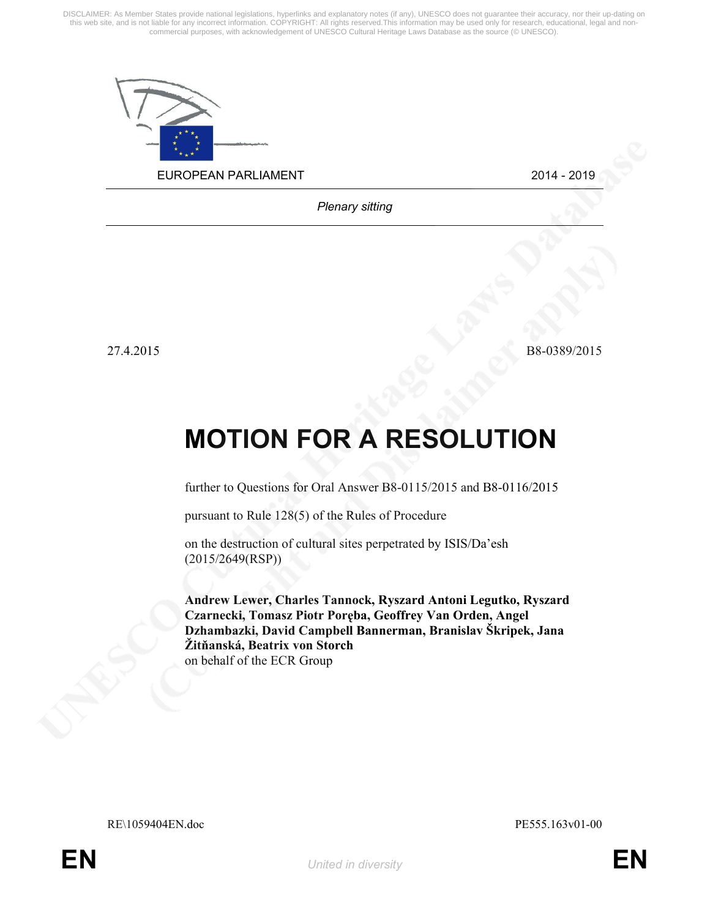DISCLAIMER: As Member States provide national legislations, hyperlinks and explanatory notes (if any), UNESCO does not guarantee their accuracy, nor their up-dating on<br>this web site, and is not liable for any incorrect inf commercial purposes, with acknowledgement of UNESCO Cultural Heritage Laws Database as the source (© UNESCO).



Plenary sitting

27.4.2015 B8-0389/2015

## MOTION FOR A RESOLUTION

further to Questions for Oral Answer B8-0115/2015 and B8-0116/2015

pursuant to Rule 128(5) of the Rules of Procedure

on the destruction of cultural sites perpetrated by ISIS/Da'esh (2015/2649(RSP))

Andrew Lewer, Charles Tannock, Ryszard Antoni Legutko, Ryszard Czarnecki, Tomasz Piotr Poręba, Geoffrey Van Orden, Angel Dzhambazki, David Campbell Bannerman, Branislav Škripek, Jana Žitňanská, Beatrix von Storch on behalf of the ECR Group

RE\1059404EN.doc PE555.163v01-00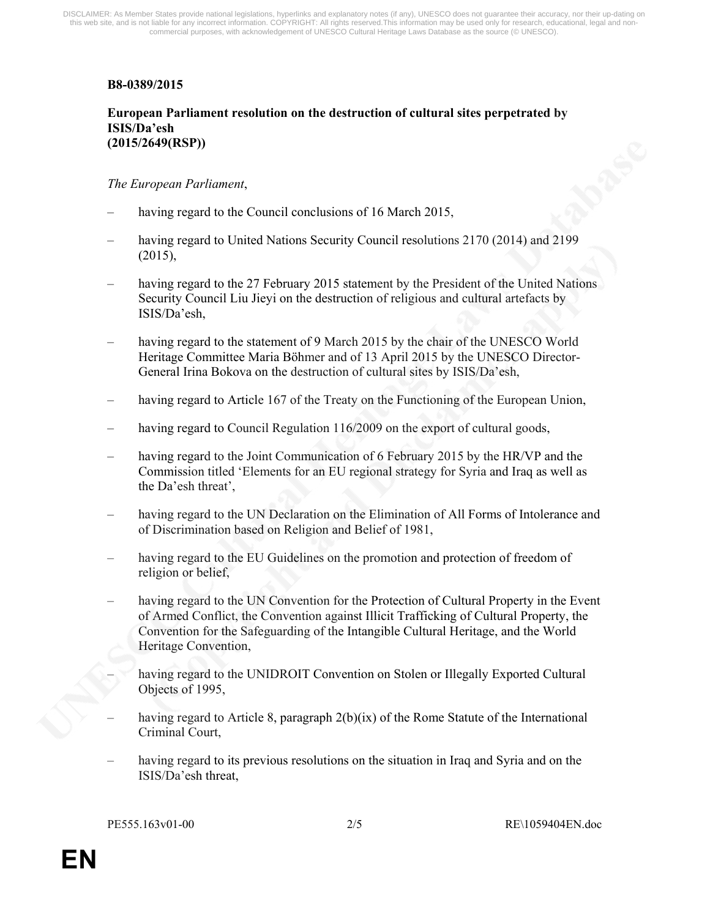## B8-0389/2015

## European Parliament resolution on the destruction of cultural sites perpetrated by ISIS/Da'esh (2015/2649(RSP))

## The European Parliament,

- having regard to the Council conclusions of 16 March 2015,
- having regard to United Nations Security Council resolutions 2170 (2014) and 2199 (2015),
- having regard to the 27 February 2015 statement by the President of the United Nations Security Council Liu Jieyi on the destruction of religious and cultural artefacts by ISIS/Da'esh,
- having regard to the statement of 9 March 2015 by the chair of the UNESCO World Heritage Committee Maria Böhmer and of 13 April 2015 by the UNESCO Director-General Irina Bokova on the destruction of cultural sites by ISIS/Da'esh,
- having regard to Article 167 of the Treaty on the Functioning of the European Union,
- having regard to Council Regulation 116/2009 on the export of cultural goods,
- having regard to the Joint Communication of 6 February 2015 by the HR/VP and the Commission titled 'Elements for an EU regional strategy for Syria and Iraq as well as the Da'esh threat',
- having regard to the UN Declaration on the Elimination of All Forms of Intolerance and of Discrimination based on Religion and Belief of 1981,
- having regard to the EU Guidelines on the promotion and protection of freedom of religion or belief,
- having regard to the UN Convention for the Protection of Cultural Property in the Event of Armed Conflict, the Convention against Illicit Trafficking of Cultural Property, the Convention for the Safeguarding of the Intangible Cultural Heritage, and the World Heritage Convention,
	- having regard to the UNIDROIT Convention on Stolen or Illegally Exported Cultural Objects of 1995,
- having regard to Article 8, paragraph 2(b)(ix) of the Rome Statute of the International Criminal Court,
- having regard to its previous resolutions on the situation in Iraq and Syria and on the ISIS/Da'esh threat,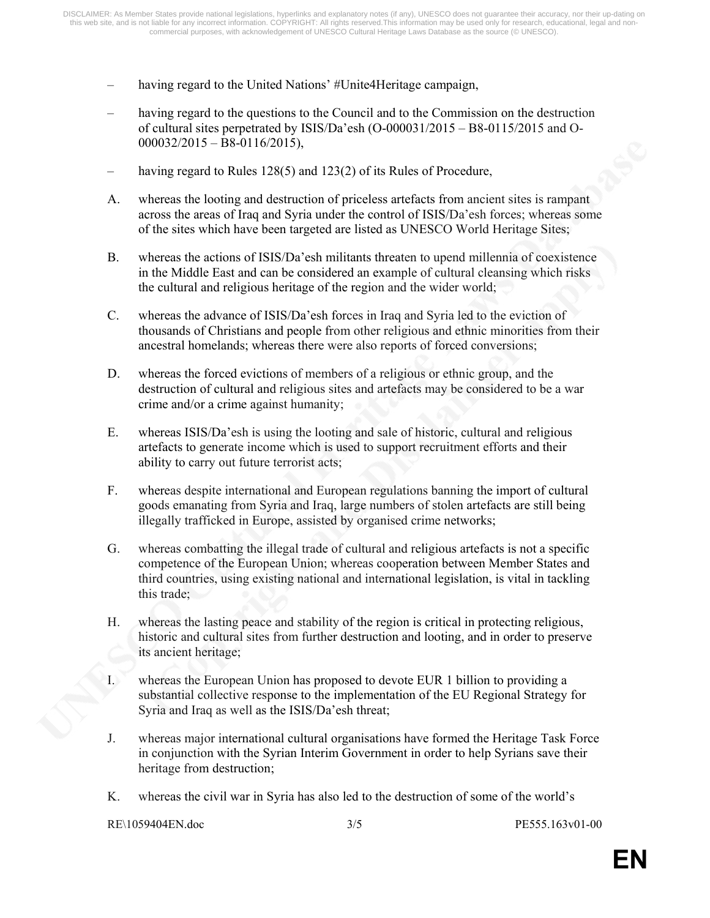- having regard to the United Nations' #Unite4Heritage campaign,
- having regard to the questions to the Council and to the Commission on the destruction of cultural sites perpetrated by ISIS/Da'esh (O-000031/2015 – B8-0115/2015 and O- $000032/2015 - B8-0116/2015$ ,
- having regard to Rules 128(5) and 123(2) of its Rules of Procedure,
- A. whereas the looting and destruction of priceless artefacts from ancient sites is rampant across the areas of Iraq and Syria under the control of ISIS/Da'esh forces; whereas some of the sites which have been targeted are listed as UNESCO World Heritage Sites;
- B. whereas the actions of ISIS/Da'esh militants threaten to upend millennia of coexistence in the Middle East and can be considered an example of cultural cleansing which risks the cultural and religious heritage of the region and the wider world;
- C. whereas the advance of ISIS/Da'esh forces in Iraq and Syria led to the eviction of thousands of Christians and people from other religious and ethnic minorities from their ancestral homelands; whereas there were also reports of forced conversions;
- D. whereas the forced evictions of members of a religious or ethnic group, and the destruction of cultural and religious sites and artefacts may be considered to be a war crime and/or a crime against humanity;
- E. whereas ISIS/Da'esh is using the looting and sale of historic, cultural and religious artefacts to generate income which is used to support recruitment efforts and their ability to carry out future terrorist acts;
- F. whereas despite international and European regulations banning the import of cultural goods emanating from Syria and Iraq, large numbers of stolen artefacts are still being illegally trafficked in Europe, assisted by organised crime networks;
- G. whereas combatting the illegal trade of cultural and religious artefacts is not a specific competence of the European Union; whereas cooperation between Member States and third countries, using existing national and international legislation, is vital in tackling this trade;
- H. whereas the lasting peace and stability of the region is critical in protecting religious, historic and cultural sites from further destruction and looting, and in order to preserve its ancient heritage;
- I. whereas the European Union has proposed to devote EUR 1 billion to providing a substantial collective response to the implementation of the EU Regional Strategy for Syria and Iraq as well as the ISIS/Da'esh threat;
- J. whereas major international cultural organisations have formed the Heritage Task Force in conjunction with the Syrian Interim Government in order to help Syrians save their heritage from destruction;
- K. whereas the civil war in Syria has also led to the destruction of some of the world's

```
RE\1059404EN.doc 3/5 PE555.163v01-00
```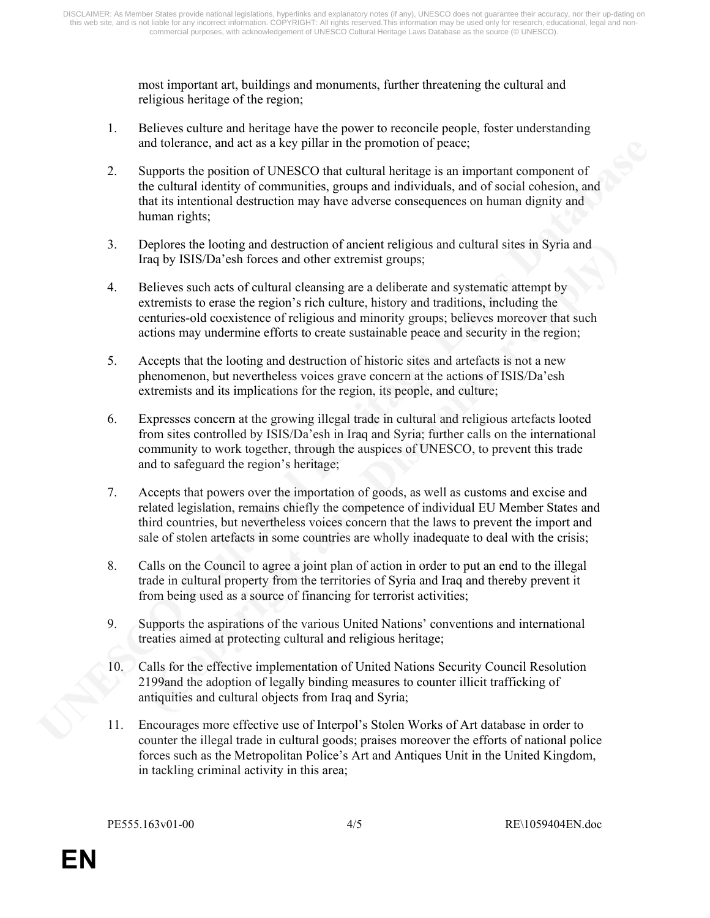most important art, buildings and monuments, further threatening the cultural and religious heritage of the region;

- 1. Believes culture and heritage have the power to reconcile people, foster understanding and tolerance, and act as a key pillar in the promotion of peace;
- 2. Supports the position of UNESCO that cultural heritage is an important component of the cultural identity of communities, groups and individuals, and of social cohesion, and that its intentional destruction may have adverse consequences on human dignity and human rights;
- 3. Deplores the looting and destruction of ancient religious and cultural sites in Syria and Iraq by ISIS/Da'esh forces and other extremist groups;
- 4. Believes such acts of cultural cleansing are a deliberate and systematic attempt by extremists to erase the region's rich culture, history and traditions, including the centuries-old coexistence of religious and minority groups; believes moreover that such actions may undermine efforts to create sustainable peace and security in the region;
- 5. Accepts that the looting and destruction of historic sites and artefacts is not a new phenomenon, but nevertheless voices grave concern at the actions of ISIS/Da'esh extremists and its implications for the region, its people, and culture;
- 6. Expresses concern at the growing illegal trade in cultural and religious artefacts looted from sites controlled by ISIS/Da'esh in Iraq and Syria; further calls on the international community to work together, through the auspices of UNESCO, to prevent this trade and to safeguard the region's heritage;
- 7. Accepts that powers over the importation of goods, as well as customs and excise and related legislation, remains chiefly the competence of individual EU Member States and third countries, but nevertheless voices concern that the laws to prevent the import and sale of stolen artefacts in some countries are wholly inadequate to deal with the crisis;
- 8. Calls on the Council to agree a joint plan of action in order to put an end to the illegal trade in cultural property from the territories of Syria and Iraq and thereby prevent it from being used as a source of financing for terrorist activities;
- 9. Supports the aspirations of the various United Nations' conventions and international treaties aimed at protecting cultural and religious heritage;
- 10. Calls for the effective implementation of United Nations Security Council Resolution 2199and the adoption of legally binding measures to counter illicit trafficking of antiquities and cultural objects from Iraq and Syria;
- 11. Encourages more effective use of Interpol's Stolen Works of Art database in order to counter the illegal trade in cultural goods; praises moreover the efforts of national police forces such as the Metropolitan Police's Art and Antiques Unit in the United Kingdom, in tackling criminal activity in this area;